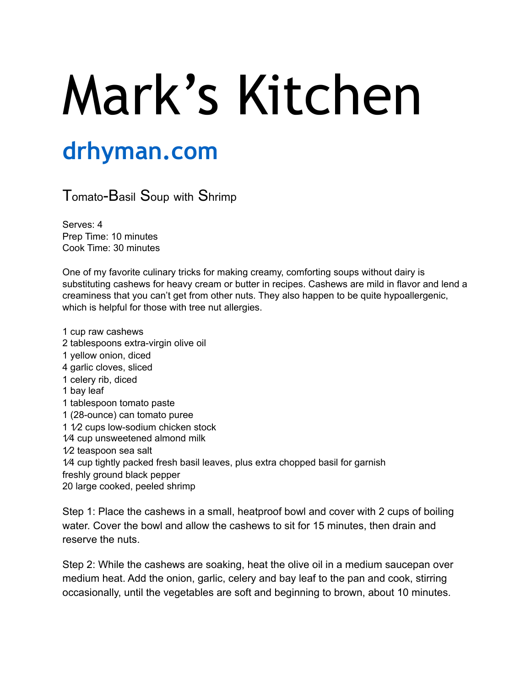## Mark's Kitchen

## **drhyman.com**

Tomato-Basil Soup with Shrimp

Serves: 4 Prep Time: 10 minutes Cook Time: 30 minutes

One of my favorite culinary tricks for making creamy, comforting soups without dairy is substituting cashews for heavy cream or butter in recipes. Cashews are mild in flavor and lend a creaminess that you can't get from other nuts. They also happen to be quite hypoallergenic, which is helpful for those with tree nut allergies.

1 cup raw cashews 2 tablespoons extra-virgin olive oil 1 yellow onion, diced 4 garlic cloves, sliced 1 celery rib, diced 1 bay leaf 1 tablespoon tomato paste 1 (28-ounce) can tomato puree 1 1⁄2 cups low-sodium chicken stock 1⁄4 cup unsweetened almond milk 1⁄2 teaspoon sea salt 1⁄4 cup tightly packed fresh basil leaves, plus extra chopped basil for garnish freshly ground black pepper 20 large cooked, peeled shrimp

Step 1: Place the cashews in a small, heatproof bowl and cover with 2 cups of boiling water. Cover the bowl and allow the cashews to sit for 15 minutes, then drain and reserve the nuts.

Step 2: While the cashews are soaking, heat the olive oil in a medium saucepan over medium heat. Add the onion, garlic, celery and bay leaf to the pan and cook, stirring occasionally, until the vegetables are soft and beginning to brown, about 10 minutes.